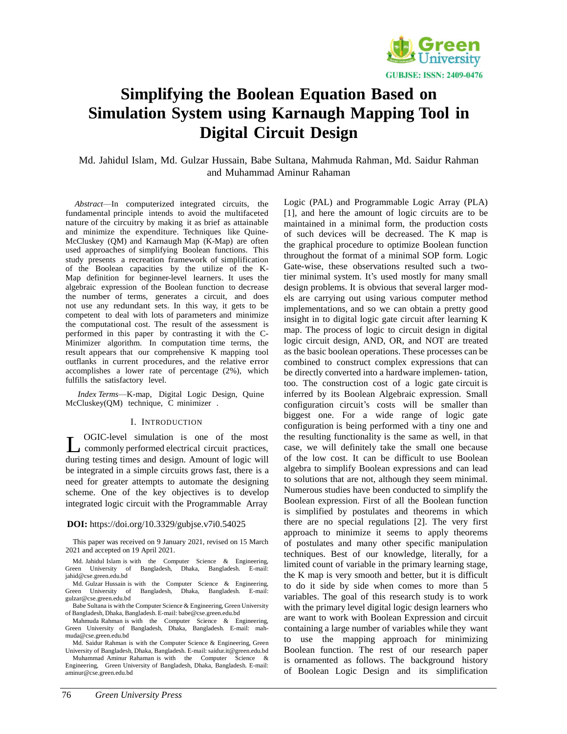

# **Simplifying the Boolean Equation Based on Simulation System using Karnaugh Mapping Tool in Digital Circuit Design**

Md. Jahidul Islam, Md. Gulzar Hussain, Babe Sultana, Mahmuda Rahman, Md. Saidur Rahman and Muhammad Aminur Rahaman

*Abstract*—In computerized integrated circuits, the fundamental principle intends to avoid the multifaceted nature of the circuitry by making it as brief as attainable and minimize the expenditure. Techniques like Quine-McCluskey (QM) and Karnaugh Map (K-Map) are often used approaches of simplifying Boolean functions. This study presents a recreation framework of simplification of the Boolean capacities by the utilize of the K-Map definition for beginner-level learners. It uses the algebraic expression of the Boolean function to decrease the number of terms, generates a circuit, and does not use any redundant sets. In this way, it gets to be competent to deal with lots of parameters and minimize the computational cost. The result of the assessment is performed in this paper by contrasting it with the C-Minimizer algorithm. In computation time terms, the result appears that our comprehensive K mapping tool outflanks in current procedures, and the relative error accomplishes a lower rate of percentage (2%), which fulfills the satisfactory level.

*Index Terms*—K-map, Digital Logic Design, Quine McCluskey(QM) technique, C minimizer .

#### I. INTRODUCTION

L OGIC-level simulation is one of the most<br>commonly performed electrical circuit practices, OGIC-level simulation is one of the most during testing times and design. Amount of logic will be integrated in a simple circuits grows fast, there is a need for greater attempts to automate the designing scheme. One of the key objectives is to develop integrated logic circuit with the Programmable Array

#### **DOI:** https://doi.org/10.3329/gubjse.v7i0.54025

This paper was received on 9 January 2021, revised on 15 March 2021 and accepted on 19 April 2021.

Md. Jahidul Islam is with the Computer Science & Engineering, Green University of Bangladesh, Dhaka, Bangladesh. E-mai[l:](mailto:jahid@cse.green.edu.bd) [jahid@cse.green.edu.bd](mailto:jahid@cse.green.edu.bd)

Md. Gulzar Hussain is with the Computer Science & Engineering, Green University of Bangladesh, Dhaka, Bangladesh. E-mai[l:](mailto:gulzar@cse.green.edu.bd) [gulzar@cse.green.edu.bd](mailto:gulzar@cse.green.edu.bd)

Babe Sultana is with the Computer Science & Engineering, Green University of Bangladesh, Dhaka, Bangladesh. E-mail: [babe@cse.green.edu.bd](mailto:babe@cse.green.edu.bd)

Mahmuda Rahman is with the Computer Science & Engineering, Green University of Bangladesh, Dhaka, Bangladesh. E-mail: mah[muda@cse.green.edu.bd](mailto:muda@cse.green.edu.bd)

Md. Saidur Rahman is with the Computer Science & Engineering, Green University of Bangladesh, Dhaka, Bangladesh. E-mail: saidu[r.it@green.edu.bd](mailto:it@green.edu.bd)

Muhammad Aminur Rahaman is with the Computer Science & Engineering, Green University of Bangladesh, Dhaka, Bangladesh. E-mai[l:](mailto:aminur@cse.green.edu.bd) [aminur@cse.green.edu.bd](mailto:aminur@cse.green.edu.bd)

Logic (PAL) and Programmable Logic Array (PLA) [1], and here the amount of logic circuits are to be maintained in a minimal form, the production costs of such devices will be decreased. The K map is the graphical procedure to optimize Boolean function throughout the format of a minimal SOP form. Logic Gate-wise, these observations resulted such a twotier minimal system. It's used mostly for many small design problems. It is obvious that several larger models are carrying out using various computer method implementations, and so we can obtain a pretty good insight in to digital logic gate circuit after learning K map. The process of logic to circuit design in digital logic circuit design, AND, OR, and NOT are treated as the basic boolean operations. These processes can be combined to construct complex expressions that can be directly converted into a hardware implemen- tation, too. The construction cost of a logic gate circuit is inferred by its Boolean Algebraic expression. Small configuration circuit's costs will be smaller than biggest one. For a wide range of logic gate configuration is being performed with a tiny one and the resulting functionality is the same as well, in that case, we will definitely take the small one because of the low cost. It can be difficult to use Boolean algebra to simplify Boolean expressions and can lead to solutions that are not, although they seem minimal. Numerous studies have been conducted to simplify the Boolean expression. First of all the Boolean function is simplified by postulates and theorems in which there are no special regulations [2]. The very first approach to minimize it seems to apply theorems of postulates and many other specific manipulation techniques. Best of our knowledge, literally, for a limited count of variable in the primary learning stage, the K map is very smooth and better, but it is difficult to do it side by side when comes to more than 5 variables. The goal of this research study is to work with the primary level digital logic design learners who are want to work with Boolean Expression and circuit containing a large number of variables while they want to use the mapping approach for minimizing Boolean function. The rest of our research paper is ornamented as follows. The background history of Boolean Logic Design and its simplification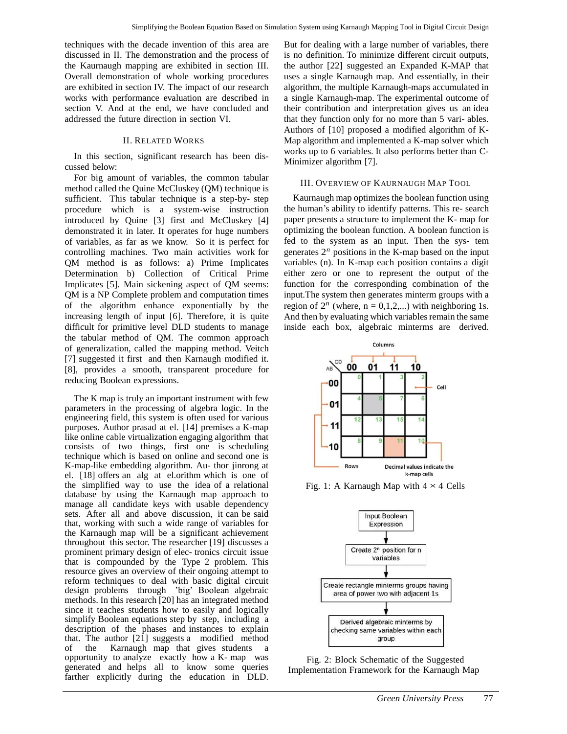techniques with the decade invention of this area are discussed in II. The demonstration and the process of the Kaurnaugh mapping are exhibited in section III. Overall demonstration of whole working procedures are exhibited in section IV. The impact of our research works with performance evaluation are described in section V. And at the end, we have concluded and addressed the future direction in section VI.

## II. RELATED WORKS

In this section, significant research has been discussed below:

For big amount of variables, the common tabular method called the Quine McCluskey (QM) technique is sufficient. This tabular technique is a step-by- step procedure which is a system-wise instruction introduced by Quine [3] first and McCluskey [4] demonstrated it in later. It operates for huge numbers of variables, as far as we know. So it is perfect for controlling machines. Two main activities work for QM method is as follows: a) Prime Implicates Determination b) Collection of Critical Prime Implicates [5]. Main sickening aspect of QM seems: QM is a NP Complete problem and computation times of the algorithm enhance exponentially by the increasing length of input [6]. Therefore, it is quite difficult for primitive level DLD students to manage the tabular method of QM. The common approach of generalization, called the mapping method. Veitch [7] suggested it first and then Karnaugh modified it. [8], provides a smooth, transparent procedure for reducing Boolean expressions.

The K map is truly an important instrument with few parameters in the processing of algebra logic. In the engineering field, this system is often used for various purposes. Author prasad at el. [14] premises a K-map like online cable virtualization engaging algorithm that consists of two things, first one is scheduling technique which is based on online and second one is K-map-like embedding algorithm. Au- thor jinrong at el. [18] offers an alg at el.orithm which is one of the simplified way to use the idea of a relational database by using the Karnaugh map approach to manage all candidate keys with usable dependency sets. After all and above discussion, it can be said that, working with such a wide range of variables for the Karnaugh map will be a significant achievement throughout this sector. The researcher [19] discusses a prominent primary design of elec- tronics circuit issue that is compounded by the Type 2 problem. This resource gives an overview of their ongoing attempt to reform techniques to deal with basic digital circuit design problems through 'big' Boolean algebraic methods. In this research [20] has an integrated method since it teaches students how to easily and logically simplify Boolean equations step by step, including a description of the phases and instances to explain that. The author [21] suggests a modified method of the Karnaugh map that gives students a opportunity to analyze exactly how a K- map was generated and helps all to know some queries farther explicitly during the education in DLD.

But for dealing with a large number of variables, there is no definition. To minimize different circuit outputs, the author [22] suggested an Expanded K-MAP that uses a single Karnaugh map. And essentially, in their algorithm, the multiple Karnaugh-maps accumulated in a single Karnaugh-map. The experimental outcome of their contribution and interpretation gives us an idea that they function only for no more than 5 vari- ables. Authors of [10] proposed a modified algorithm of K-Map algorithm and implemented a K-map solver which works up to 6 variables. It also performs better than C-Minimizer algorithm [7].

#### III. OVERVIEW OF KAURNAUGH MAP TOOL

Kaurnaugh map optimizes the boolean function using the human's ability to identify patterns. This re- search paper presents a structure to implement the K- map for optimizing the boolean function. A boolean function is fed to the system as an input. Then the sys- tem generates  $2<sup>n</sup>$  positions in the K-map based on the input variables (n). In K-map each position contains a digit either zero or one to represent the output of the function for the corresponding combination of the input.The system then generates minterm groups with a region of  $2^n$  (where,  $n = 0,1,2,...$ ) with neighboring 1s. And then by evaluating which variables remain the same inside each box, algebraic minterms are derived.



Fig. 1: A Karnaugh Map with  $4 \times 4$  Cells



Fig. 2: Block Schematic of the Suggested Implementation Framework for the Karnaugh Map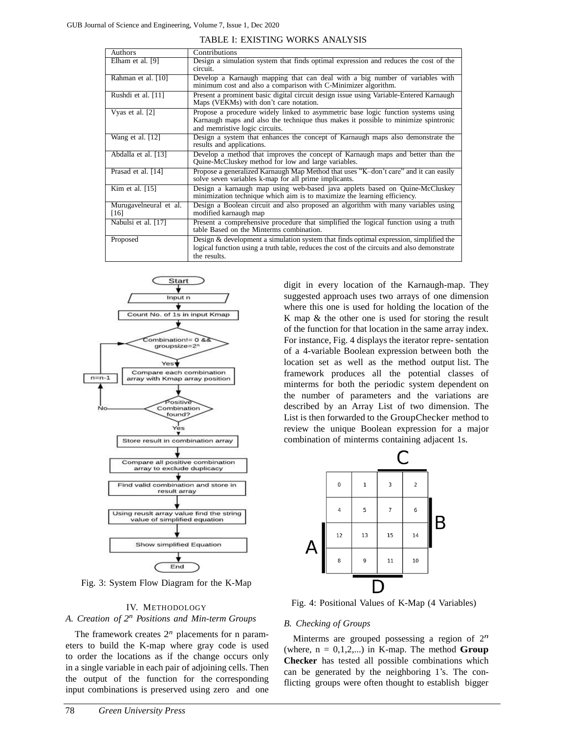| <b>Authors</b>                 | Contributions                                                                                                                                                                                             |
|--------------------------------|-----------------------------------------------------------------------------------------------------------------------------------------------------------------------------------------------------------|
| Elham et al. [9]               | Design a simulation system that finds optimal expression and reduces the cost of the<br>circuit.                                                                                                          |
| Rahman et al. [10]             | Develop a Karnaugh mapping that can deal with a big number of variables with<br>minimum cost and also a comparison with C-Minimizer algorithm.                                                            |
| Rushdi et al. [11]             | Present a prominent basic digital circuit design issue using Variable-Entered Karnaugh<br>Maps (VEKMs) with don't care notation.                                                                          |
| Vyas et al. [2]                | Propose a procedure widely linked to asymmetric base logic function systems using<br>Karnaugh maps and also the technique thus makes it possible to minimize spintronic<br>and memristive logic circuits. |
| Wang et al. [12]               | Design a system that enhances the concept of Karnaugh maps also demonstrate the<br>results and applications.                                                                                              |
| Abdalla et al. [13]            | Develop a method that improves the concept of Karnaugh maps and better than the<br>Quine-McCluskey method for low and large variables.                                                                    |
| Prasad et al. [14]             | Propose a generalized Karnaugh Map Method that uses "K-don't care" and it can easily<br>solve seven variables k-map for all prime implicants.                                                             |
| Kim et al. $[15]$              | Design a karnaugh map using web-based java applets based on Quine-McCluskey<br>minimization technique which aim is to maximize the learning efficiency.                                                   |
| Murugavelneural et al.<br>[16] | Design a Boolean circuit and also proposed an algorithm with many variables using<br>modified karnaugh map                                                                                                |
| Nabulsi et al. [17]            | Present a comprehensive procedure that simplified the logical function using a truth<br>table Based on the Minterms combination.                                                                          |
| Proposed                       | Design & development a simulation system that finds optimal expression, simplified the<br>logical function using a truth table, reduces the cost of the circuits and also demonstrate<br>the results.     |





Fig. 3: System Flow Diagram for the K-Map

## IV. METHODOLOGY

# *A. Creation of 2 <sup>n</sup>Positions and Min-term Groups*

The framework creates  $2<sup>n</sup>$  placements for n parameters to build the K-map where gray code is used to order the locations as if the change occurs only in a single variable in each pair of adjoining cells. Then the output of the function for the corresponding input combinations is preserved using zero and one digit in every location of the Karnaugh-map. They suggested approach uses two arrays of one dimension where this one is used for holding the location of the K map & the other one is used for storing the result of the function for that location in the same array index. For instance, Fig. 4 displays the iterator repre- sentation of a 4-variable Boolean expression between both the location set as well as the method output list. The framework produces all the potential classes of minterms for both the periodic system dependent on the number of parameters and the variations are described by an Array List of two dimension. The List is then forwarded to the GroupChecker method to review the unique Boolean expression for a major combination of minterms containing adjacent 1s.



Fig. 4: Positional Values of K-Map (4 Variables)

#### *B. Checking of Groups*

Minterms are grouped possessing a region of  $2^n$ (where,  $n = 0,1,2,...$ ) in K-map. The method **Group Checker** has tested all possible combinations which can be generated by the neighboring 1's. The conflicting groups were often thought to establish bigger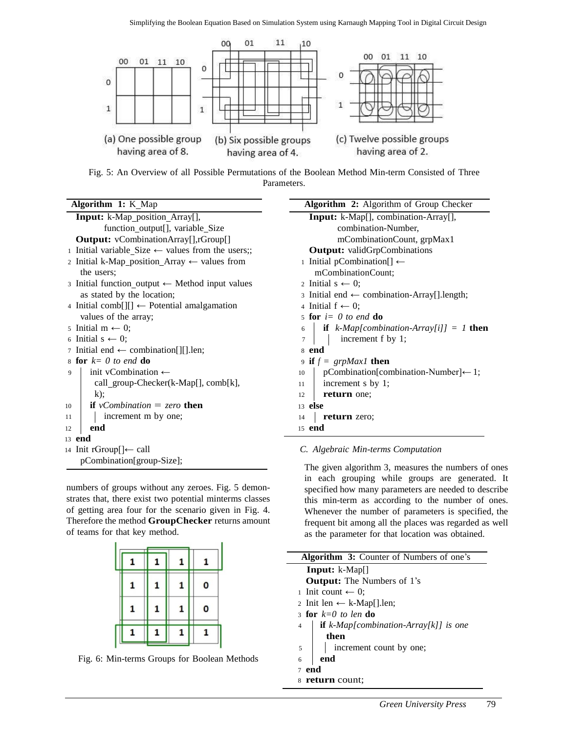

Fig. 5: An Overview of all Possible Permutations of the Boolean Method Min-term Consisted of Three Parameters.

**Algorithm 1:** K Map

|    | <b>Input:</b> k-Map_position_Array[],                       |
|----|-------------------------------------------------------------|
|    | function output[], variable Size                            |
|    | <b>Output:</b> vCombinationArray[],rGroup[]                 |
|    | 1 Initial variable Size $\leftarrow$ values from the users; |
|    | 2 Initial k-Map_position_Array $\leftarrow$ values from     |
|    | the users:                                                  |
|    | 3 Initial function_output $\leftarrow$ Method input values  |
|    | as stated by the location;                                  |
|    | 4 Initial comb[][] $\leftarrow$ Potential amalgamation      |
|    | values of the array;                                        |
|    | 5 Initial m $\leftarrow$ 0;                                 |
|    | 6 Initial $s \leftarrow 0$ ;                                |
|    | 7 Initial end $\leftarrow$ combination[][].len;             |
|    | 8 for $k=0$ to end do                                       |
| 9  | init vCombination $\leftarrow$                              |
|    | call_group-Checker(k-Map[], comb[k],                        |
|    | $k)$ ;                                                      |
| 10 | <b>if</b> vCombination = zero <b>then</b>                   |
| 11 | increment m by one;                                         |
| 12 | end                                                         |
|    | $13$ end                                                    |
|    | 14 Init rGroup[]← call                                      |
|    | pCombination[group-Size];                                   |

numbers of groups without any zeroes. Fig. 5 demonstrates that, there exist two potential minterms classes of getting area four for the scenario given in Fig. 4. Therefore the method **GroupChecker** returns amount of teams for that key method.

|   |   | 1 | 1 |  |
|---|---|---|---|--|
| 1 | 1 | 1 | 0 |  |
| 1 | 1 | 1 | 0 |  |
|   |   |   |   |  |



| <b>Algorithm 2:</b> Algorithm of Group Checker            |
|-----------------------------------------------------------|
| <b>Input:</b> k-Map[], combination-Array[],               |
| combination-Number,                                       |
| mCombinationCount, grpMax1                                |
| <b>Output:</b> validGrpCombinations                       |
| 1 Initial pCombination[] ←                                |
| mCombinationCount;                                        |
| 2 Initial $s \leftarrow 0$ ;                              |
| 3 Initial end $\leftarrow$ combination-Array[].length;    |
| 4 Initial $f \leftarrow 0$ ;                              |
| 5 for $i=0$ to end do                                     |
| 6   if $k$ - <i>Map[combination-Array[i]]</i> = 1 then    |
| $\vert$ increment f by 1;                                 |
| 8 end                                                     |
| 9 if $f = \text{gr}p\text{Max1}$ then                     |
| $p$ Combination[combination-Number] $\leftarrow$ 1;<br>10 |
| 11<br>increment s by 1;                                   |
| return one;<br>12                                         |
| $13$ else                                                 |
| return zero;<br>14                                        |
| 15 end                                                    |

# *C. Algebraic Min-terms Computation*

The given algorithm 3, measures the numbers of ones in each grouping while groups are generated. It specified how many parameters are needed to describe this min-term as according to the number of ones. Whenever the number of parameters is specified, the frequent bit among all the places was regarded as well as the parameter for that location was obtained.

| <b>Algorithm 3:</b> Counter of Numbers of one's                   |
|-------------------------------------------------------------------|
| <b>Input:</b> $k$ -Map[]                                          |
| <b>Output:</b> The Numbers of 1's                                 |
| 1 Init count $\leftarrow$ 0;                                      |
| 2 Init len ← k-Map[].len;                                         |
| 3 for $k=0$ to len do                                             |
| <b>if</b> $k$ -Map[combination-Array[k]] is one<br>$\overline{4}$ |
| then                                                              |
| increment count by one;<br>5                                      |
| end<br>6                                                          |
| end<br>$\tau$                                                     |
| 8 return count:                                                   |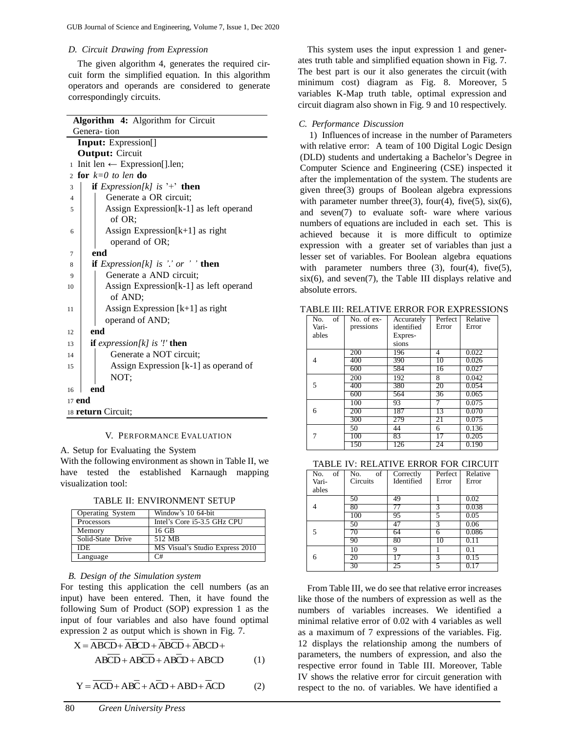## *D. Circuit Drawing from Expression*

The given algorithm 4, generates the required circuit form the simplified equation. In this algorithm operators and operands are considered to generate correspondingly circuits.

| Algorithm 4: Algorithm for Circuit                      |  |  |  |  |  |
|---------------------------------------------------------|--|--|--|--|--|
| Genera-tion                                             |  |  |  |  |  |
| <b>Input:</b> Expression[]                              |  |  |  |  |  |
| <b>Output: Circuit</b>                                  |  |  |  |  |  |
| Init len $\leftarrow$ Expression[].len;<br>$\mathbf{1}$ |  |  |  |  |  |
| for $k=0$ to len do<br>$\overline{c}$                   |  |  |  |  |  |
| if <i>Expression</i> [ $k$ ] is '+' <b>then</b><br>3    |  |  |  |  |  |
| Generate a OR circuit;<br>$\overline{\mathbf{4}}$       |  |  |  |  |  |
| Assign Expression[k-1] as left operand<br>5             |  |  |  |  |  |
| of OR;                                                  |  |  |  |  |  |
| Assign Expression $[k+1]$ as right<br>6                 |  |  |  |  |  |
| operand of OR;                                          |  |  |  |  |  |
| end<br>7                                                |  |  |  |  |  |
| if $Expression[k]$ is '.' or ' ' then<br>8              |  |  |  |  |  |
| Generate a AND circuit;<br>9                            |  |  |  |  |  |
| Assign Expression[k-1] as left operand<br>10<br>of AND; |  |  |  |  |  |
| Assign Expression $[k+1]$ as right<br>11                |  |  |  |  |  |
| operand of AND;                                         |  |  |  |  |  |
|                                                         |  |  |  |  |  |
| end<br>12                                               |  |  |  |  |  |
| <b>if</b> expression[k] is $''$ then<br>13              |  |  |  |  |  |
| Generate a NOT circuit;<br>14                           |  |  |  |  |  |
| Assign Expression [k-1] as operand of<br>15             |  |  |  |  |  |
| NOT;                                                    |  |  |  |  |  |
| end<br>16                                               |  |  |  |  |  |
| $17$ end                                                |  |  |  |  |  |
| 18 <b>return</b> Circuit;                               |  |  |  |  |  |

## V. PERFORMANCE EVALUATION

A. Setup for Evaluating the System

With the following environment as shown in Table II, we have tested the established Karnaugh mapping visualization tool:

TABLE II: ENVIRONMENT SETUP

| Operating System  | Window's 10 64-bit              |
|-------------------|---------------------------------|
| Processors        | Intel's Core i5-3.5 GHz CPU     |
| Memory            | $16$ GB                         |
| Solid-State Drive | 512 MB                          |
| <b>IDE</b>        | MS Visual's Studio Express 2010 |
| Language          | $\cap$ #                        |

## *B. Design of the Simulation system*

For testing this application the cell numbers (as an input) have been entered. Then, it have found the following Sum of Product (SOP) expression 1 as the input of four variables and also have found optimal expression 2 as output which is shown in Fig. 7.

$$
X = \overline{ABCD} + \overline{ABCD} + \overline{ABCD} + \overline{ABCD} +
$$
  
ABCD + ABCD + ABCD + ABCD + ABCD (1)

$$
Y = \overline{ACD} + \overline{ABC} + \overline{ACD} + \overline{ABD} + \overline{ACD}
$$
 (2)

This system uses the input expression 1 and generates truth table and simplified equation shown in Fig. 7. The best part is our it also generates the circuit (with minimum cost) diagram as Fig. 8. Moreover, 5 variables K-Map truth table, optimal expression and circuit diagram also shown in Fig. 9 and 10 respectively.

#### *C. Performance Discussion*

1) Influences of increase in the number of Parameters with relative error: A team of 100 Digital Logic Design (DLD) students and undertaking a Bachelor's Degree in Computer Science and Engineering (CSE) inspected it after the implementation of the system. The students are given three(3) groups of Boolean algebra expressions with parameter number three(3), four(4), five(5),  $\text{six}(6)$ , and seven(7) to evaluate soft- ware where various numbers of equations are included in each set. This is achieved because it is more difficult to optimize expression with a greater set of variables than just a lesser set of variables. For Boolean algebra equations with parameter numbers three  $(3)$ , four $(4)$ , five $(5)$ ,  $six(6)$ , and seven(7), the Table III displays relative and absolute errors.

| of<br>No. | No. of ex- | Accurately | Perfect | Relative |
|-----------|------------|------------|---------|----------|
| Vari-     | pressions  | identified | Error   | Error    |
| ables     |            | Expres-    |         |          |
|           |            | sions      |         |          |
|           | 200        | 196        | 4       | 0.022    |
| 4         | 400        | 390        | 10      | 0.026    |
|           | 600        | 584        | T6      | 0.027    |
|           | 200        | 192        | 8       | 0.042    |
| 5         | 400        | 380        | 20      | 0.054    |
|           | 600        | 564        | 36      | 0.065    |
|           | 100        | 93         |         | 0.075    |
| 6         | 200        | 187        | 13      | 0.070    |
|           | 300        | 279        | 21      | 0.075    |
|           | 50         | 44         | 6       | 0.136    |
|           | 100        | 83         | 17      | 0.205    |
|           | 150        | 126        | 24      | 0.190    |

TABLE III: RELATIVE ERROR FOR EXPRESSIONS

# TABLE IV: RELATIVE ERROR FOR CIRCUIT

| of<br>No. | No.<br>of | Correctly  | Perfect | Relative |  |  |  |  |
|-----------|-----------|------------|---------|----------|--|--|--|--|
| Vari-     | Circuits  | Identified | Error   | Error    |  |  |  |  |
| ables     |           |            |         |          |  |  |  |  |
|           | 50        | 49         |         | 0.02     |  |  |  |  |
|           | 80        |            | 3       | 0.038    |  |  |  |  |
|           | 100       | 95         | 5       | 0.05     |  |  |  |  |
|           | 50        | 47         | 3       | 0.06     |  |  |  |  |
| 5         |           | 64         | 6       | 0.086    |  |  |  |  |
|           | 90        | 80         | ю       | 0. L I   |  |  |  |  |
|           | 10        | Q          |         |          |  |  |  |  |
| 6         | 20        |            |         | 0.15     |  |  |  |  |
|           | 30        | 25         |         |          |  |  |  |  |

From Table III, we do see that relative error increases like those of the numbers of expression as well as the numbers of variables increases. We identified a minimal relative error of 0.02 with 4 variables as well as a maximum of 7 expressions of the variables. Fig. 12 displays the relationship among the numbers of parameters, the numbers of expression, and also the respective error found in Table III. Moreover, Table IV shows the relative error for circuit generation with respect to the no. of variables. We have identified a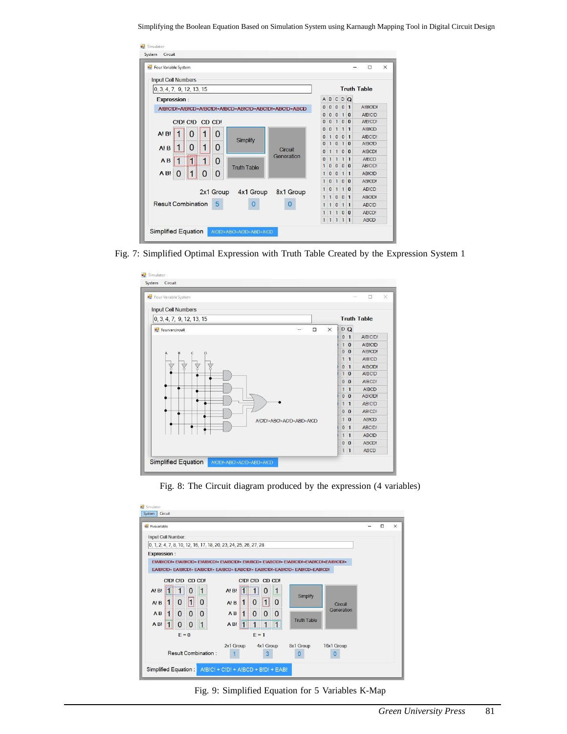Simplifying the Boolean Equation Based on Simulation System using Karnaugh Mapping Tool in Digital Circuit Design

| <b>Pour Variable System</b>                              |                       |                |                                  |              |                | $\Box$             |
|----------------------------------------------------------|-----------------------|----------------|----------------------------------|--------------|----------------|--------------------|
| Input Cell Numbers                                       |                       |                |                                  |              |                |                    |
| $\vert 0, 3, 4, 7, 9, 12, 13, 15 \vert$                  |                       |                |                                  |              |                | <b>Truth Table</b> |
| <b>Expression:</b>                                       |                       | $\overline{A}$ | B                                |              | CDQ            |                    |
| AIBICIDI+AIBICD+AIBCIDI+AIBCD+ABICID+ABCIDI+ABCID+ABCD   |                       | $\mathbf{0}$   | $\bf{0}$<br>$\mathbf{0}$         |              | 0 <sub>1</sub> | <b>AIRICIDI</b>    |
|                                                          |                       | $\mathbf{0}$   | $\bf 0$<br>$\mathbf{0}$          | 1            | $\bf{0}$       | A!B!C!D            |
| CIDI CID CD CD!                                          |                       | $\mathbf 0$    | $\mathbf{0}$<br>$\mathbf{1}$     | $\mathbf{0}$ | $\overline{0}$ | AIBICD!            |
|                                                          |                       | $\overline{0}$ | $\overline{0}$<br>$\mathbf{1}$   | $\mathbf{1}$ | $\mathbf{1}$   | <b>AIBICD</b>      |
| 1<br>1<br>0<br>$A^{\dagger}B^{\dagger}$<br>0<br>Simplify |                       | $\overline{0}$ | $\mathbf{1}$<br>$\bf{0}$         | $\bf{0}$     | $\mathbf{1}$   | AIBCIDI            |
| 1<br>1<br>0<br>$\Omega$<br>A <sup>T</sup> B              |                       | $\mathbf{0}$   | $\mathbf{1}$<br>$\mathbf{0}$     |              | 10             | <b>AIBCID</b>      |
|                                                          | Circuit<br>Generation | $\bf{0}$       | $\overline{1}$<br>$\mathbf{1}$   | $\mathbf{0}$ | $\mathbf{0}$   | <b>AIBCDI</b>      |
| $\mathbf{1}$<br>$\vert$ 1<br>1<br>0<br>AB                |                       | $\Omega$       | $\mathbf{1}$<br>$\mathbf{1}$     | $\mathbf{1}$ | $\mathbf{1}$   | AIRCD              |
| <b>Truth Table</b>                                       |                       | $\mathbf{1}$   | $\bf{0}$<br>$\mathbf{0}$         |              | 0 <sub>0</sub> | <b>ABICIDI</b>     |
| $\mathbf{1}$<br>AB!<br>$\Omega$<br>$\Omega$<br>0         |                       | $\mathbf{1}$   | $\bf 0$<br>$\mathbf{0}$          | $\mathbf{1}$ | $\mathbf{1}$   | AB!C!D             |
|                                                          |                       | $\overline{1}$ | $\overline{0}$<br>$\overline{1}$ | $\bf{0}$     | $\Omega$       | ABICD!             |
| 2x1 Group 4x1 Group                                      | 8x1 Group             | $\mathbf{1}$   | $\bf{0}$<br>$\mathbf{1}$         | $\oplus$     | $\bf{0}$       | ABICD              |
|                                                          |                       | $\overline{1}$ | $\bf{0}$<br>1                    | $\bf{0}$     | $\mathbf{1}$   | ABCID!             |
| <b>Result Combination</b><br>5<br>Ω                      | 0                     | $\overline{1}$ | $\mathbf{0}$<br>1                | $\mathbf{1}$ | $\mathbf{1}$   | ABCID              |
|                                                          |                       | $\overline{1}$ | $\mathbf{1}$<br>$\mathbf{1}$     | $\mathbf{0}$ | $\Omega$       | ABCD!              |
|                                                          |                       | $\mathbf{1}$   | $\mathbf{1}$<br>$\mathbf{1}$     | $\mathbf{1}$ | $\mathbf{1}$   | ABCD               |

Fig. 7: Simplified Optimal Expression with Truth Table Created by the Expression System 1



Fig. 8: The Circuit diagram produced by the expression (4 variables)

| <b>a</b> Fivevariable                                                                               | $\times$<br>п  |
|-----------------------------------------------------------------------------------------------------|----------------|
| Input Cell Number:                                                                                  |                |
| 0, 1, 2, 4, 7, 8, 10, 12, 16, 17, 18, 20, 23, 24, 25, 26, 27, 28                                    |                |
| <b>Expression:</b>                                                                                  |                |
| EIAIBICIDI+ EIAIBICID+ EIAIBICDI+ EIAIBCIDI+ EIAIBCD+ EIABCIDI+ EIABICIDI+EIABICDI+EAIBICIDI+       |                |
| EAIBICID+ EAIBICDI+ EAIBCIDI+ EAIBCD+ EABCIDI+ EABICIDI+EABICID+ EABICD+EABICDI                     |                |
| CIDI CID CD CDI<br>CIDI CID CD CDI                                                                  |                |
| 1<br>$A!$ $B!$<br>A!B!<br>$\Omega$<br>1<br>0<br>Simplify                                            |                |
| $\vert$ 1<br>$\Omega$<br>$\Omega$<br>$\Omega$<br>$\mathbf{1}$<br>$\Omega$<br>$A$ ! $B$<br>$A$ ! $B$ | <b>Circuit</b> |
| $\Omega$<br>$\Omega$<br>$\Omega$<br>AB<br>$\Omega$<br>1<br>$\Omega$<br>AB<br>$\Omega$               | Generation     |
| <b>Truth Table</b><br>$\mathbf{1}$<br>AB!<br>AB!<br>O<br>$\Omega$                                   |                |
| $E = 1$<br>$E = 0$                                                                                  |                |
| 2x1 Group<br>4x1 Group<br>8x1 Group                                                                 | 16x1 Group     |
| Result Combination:<br>3<br>0                                                                       | O              |

Fig. 9: Simplified Equation for 5 Variables K-Map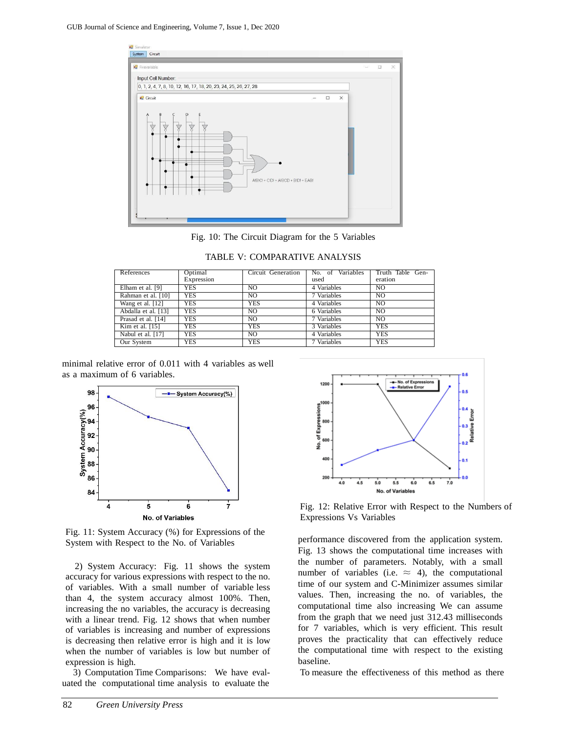

Fig. 10: The Circuit Diagram for the 5 Variables

| References          | Optimal    | Circuit Generation | Variables<br>No. of | Truth Table Gen- |
|---------------------|------------|--------------------|---------------------|------------------|
|                     | Expression |                    | used                | eration          |
| Elham et al. [9]    | YES        | NO.                | 4 Variables         | NO.              |
| Rahman et al. [10]  | YES        | NO.                | 7 Variables         | N <sub>O</sub>   |
| Wang et al. [12]    | <b>YES</b> | <b>YES</b>         | 4 Variables         | NO.              |
| Abdalla et al. [13] | <b>YES</b> | NO.                | 6 Variables         | N <sub>O</sub>   |
| Prasad et al. [14]  | <b>YES</b> | NO.                | 7 Variables         | NO.              |
| Kim et al. $[15]$   | YES        | <b>YES</b>         | 3 Variables         | <b>YES</b>       |
| Nabul et al. [17]   | <b>YES</b> | NO.                | 4 Variables         | <b>YES</b>       |
| Our System          | <b>YES</b> | <b>YES</b>         | 7 Variables         | <b>YES</b>       |

TABLE V: COMPARATIVE ANALYSIS

minimal relative error of 0.011 with 4 variables as well as a maximum of 6 variables.



Fig. 11: System Accuracy (%) for Expressions of the System with Respect to the No. of Variables

2) System Accuracy: Fig. 11 shows the system accuracy for various expressions with respect to the no. of variables. With a small number of variable less than 4, the system accuracy almost 100%. Then, increasing the no variables, the accuracy is decreasing with a linear trend. Fig. 12 shows that when number of variables is increasing and number of expressions is decreasing then relative error is high and it is low when the number of variables is low but number of expression is high.

3) Computation Time Comparisons: We have evaluated the computational time analysis to evaluate the



Fig. 12: Relative Error with Respect to the Numbers of Expressions Vs Variables

performance discovered from the application system. Fig. 13 shows the computational time increases with the number of parameters. Notably, with a small number of variables (i.e.  $\approx$  4), the computational time of our system and C-Minimizer assumes similar values. Then, increasing the no. of variables, the computational time also increasing We can assume from the graph that we need just 312.43 milliseconds for 7 variables, which is very efficient. This result proves the practicality that can effectively reduce the computational time with respect to the existing baseline.

To measure the effectiveness of this method as there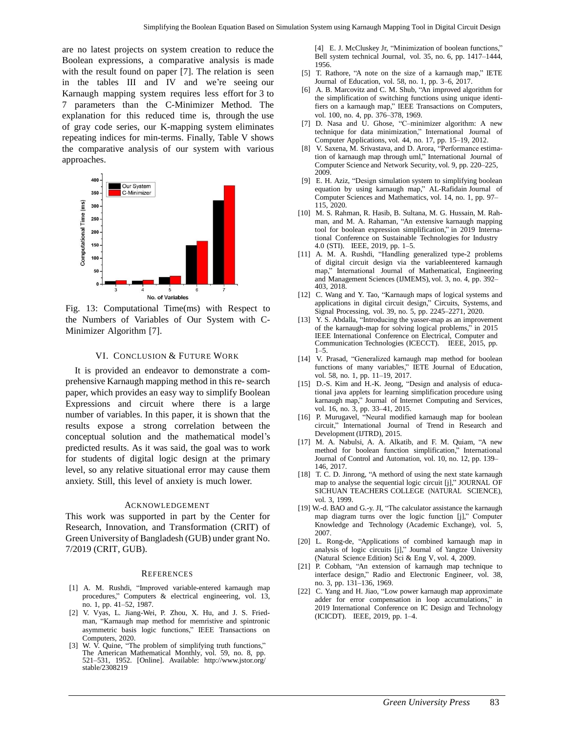are no latest projects on system creation to reduce the Boolean expressions, a comparative analysis is made with the result found on paper [7]. The relation is seen in the tables III and IV and we're seeing our Karnaugh mapping system requires less effort for 3 to 7 parameters than the C-Minimizer Method. The explanation for this reduced time is, through the use of gray code series, our K-mapping system eliminates repeating indices for min-terms. Finally, Table V shows the comparative analysis of our system with various approaches.



Fig. 13: Computational Time(ms) with Respect to the Numbers of Variables of Our System with C-Minimizer Algorithm [7].

#### VI. CONCLUSION & FUTURE WORK

It is provided an endeavor to demonstrate a comprehensive Karnaugh mapping method in this re- search paper, which provides an easy way to simplify Boolean Expressions and circuit where there is a large number of variables. In this paper, it is shown that the results expose a strong correlation between the conceptual solution and the mathematical model's predicted results. As it was said, the goal was to work for students of digital logic design at the primary level, so any relative situational error may cause them anxiety. Still, this level of anxiety is much lower.

#### ACKNOWLEDGEMENT

This work was supported in part by the Center for Research, Innovation, and Transformation (CRIT) of Green University of Bangladesh (GUB) under grant No. 7/2019 (CRIT, GUB).

#### **REFERENCES**

- [1] A. M. Rushdi, "Improved variable-entered karnaugh map procedures," Computers & electrical engineering, vol. 13, no. 1, pp. 41–52, 1987.
- [2] V. Vyas, L. Jiang-Wei, P. Zhou, X. Hu, and J. S. Friedman, "Karnaugh map method for memristive and spintronic asymmetric basis logic functions," IEEE Transactions on Computers, 2020.
- [3] W. V. Quine, "The problem of simplifying truth functions," The American Mathematical Monthly, vol. 59, no. 8, pp. 521–531, 1952. [Online]. Available: <http://www.jstor.org/> stable/2308219

[4] E. J. McCluskey Jr, "Minimization of boolean functions," Bell system technical Journal, vol. 35, no. 6, pp. 1417–1444, 1956.

- [5] T. Rathore, "A note on the size of a karnaugh map," IETE Journal of Education, vol. 58, no. 1, pp. 3–6, 2017.
- [6] A. B. Marcovitz and C. M. Shub, "An improved algorithm for the simplification of switching functions using unique identifiers on a karnaugh map," IEEE Transactions on Computers, vol. 100, no. 4, pp. 376–378, 1969.
- [7] D. Nasa and U. Ghose, "C–minimizer algorithm: A new technique for data minimization," International Journal of Computer Applications, vol. 44, no. 17, pp. 15–19, 2012.
- [8] V. Saxena, M. Srivastava, and D. Arora, "Performance estimation of karnaugh map through uml," International Journal of Computer Science and Network Security, vol. 9, pp. 220–225, 2009.
- [9] E. H. Aziz, "Design simulation system to simplifying boolean equation by using karnaugh map," AL-Rafidain Journal of Computer Sciences and Mathematics, vol. 14, no. 1, pp. 97– 115, 2020.
- [10] M. S. Rahman, R. Hasib, B. Sultana, M. G. Hussain, M. Rahman, and M. A. Rahaman, "An extensive karnaugh mapping tool for boolean expression simplification," in 2019 International Conference on Sustainable Technologies for Industry 4.0 (STI). IEEE, 2019, pp. 1–5.
- [11] A. M. A. Rushdi, "Handling generalized type-2 problems of digital circuit design via the variableentered karnaugh map," International Journal of Mathematical, Engineering and Management Sciences (IJMEMS), vol. 3, no. 4, pp. 392– 403, 2018.
- [12] C. Wang and Y. Tao, "Karnaugh maps of logical systems and applications in digital circuit design," Circuits, Systems, and Signal Processing, vol. 39, no. 5, pp. 2245–2271, 2020.
- [13] Y. S. Abdalla, "Introducing the yasser-map as an improvement of the karnaugh-map for solving logical problems," in 2015 IEEE International Conference on Electrical, Computer and Communication Technologies (ICECCT). IEEE, 2015, pp.  $1 - 5$ .
- [14] V. Prasad, "Generalized karnaugh map method for boolean functions of many variables," IETE Journal of Education, vol. 58, no. 1, pp. 11–19, 2017.
- [15] D.-S. Kim and H.-K. Jeong, "Design and analysis of educational java applets for learning simplification procedure using karnaugh map," Journal of Internet Computing and Services, vol. 16, no. 3, pp. 33–41, 2015.
- [16] P. Murugavel, "Neural modified karnaugh map for boolean circuit," International Journal of Trend in Research and Development (IJTRD), 2015.
- [17] M. A. Nabulsi, A. A. Alkatib, and F. M. Quiam, "A new method for boolean function simplification," International Journal of Control and Automation, vol. 10, no. 12, pp. 139– 146, 2017.
- [18] T. C. D. Jinrong, "A methord of using the next state karnaugh map to analyse the sequential logic circuit [j]," JOURNAL OF SICHUAN TEACHERS COLLEGE (NATURAL SCIENCE), vol. 3, 1999.
- [19] W.-d. BAO and G.-y. JI, "The calculator assistance the karnaugh map diagram turns over the logic function [j]," Computer Knowledge and Technology (Academic Exchange), vol. 5, 2007.
- [20] L. Rong-de, "Applications of combined karnaugh map in analysis of logic circuits [j]," Journal of Yangtze University (Natural Science Edition) Sci & Eng V, vol. 4, 2009.
- [21] P. Cobham, "An extension of karnaugh map technique to interface design," Radio and Electronic Engineer, vol. 38, no. 3, pp. 131–136, 1969.
- [22] C. Yang and H. Jiao, "Low power karnaugh map approximate adder for error compensation in loop accumulations," in 2019 International Conference on IC Design and Technology (ICICDT). IEEE, 2019, pp. 1–4.